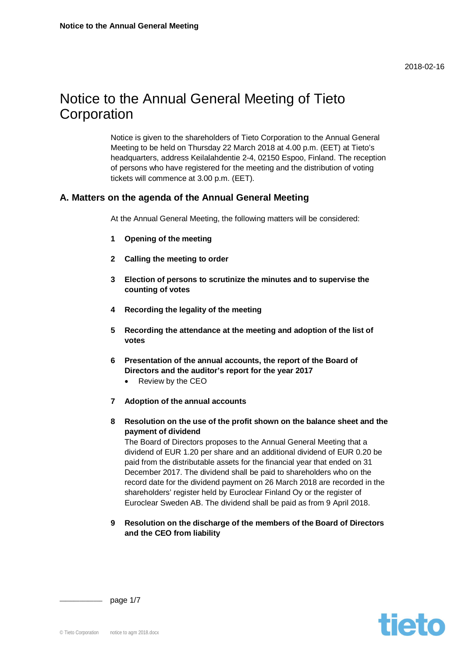2018-02-16

# Notice to the Annual General Meeting of Tieto **Corporation**

Notice is given to the shareholders of Tieto Corporation to the Annual General Meeting to be held on Thursday 22 March 2018 at 4.00 p.m. (EET) at Tieto's headquarters, address Keilalahdentie 2-4, 02150 Espoo, Finland. The reception of persons who have registered for the meeting and the distribution of voting tickets will commence at 3.00 p.m. (EET).

# **A. Matters on the agenda of the Annual General Meeting**

At the Annual General Meeting, the following matters will be considered:

- **1 Opening of the meeting**
- **2 Calling the meeting to order**
- **3 Election of persons to scrutinize the minutes and to supervise the counting of votes**
- **4 Recording the legality of the meeting**
- **5 Recording the attendance at the meeting and adoption of the list of votes**
- **6 Presentation of the annual accounts, the report of the Board of Directors and the auditor's report for the year 2017**
	- Review by the CEO
- **7 Adoption of the annual accounts**
- **8 Resolution on the use of the profit shown on the balance sheet and the payment of dividend**

The Board of Directors proposes to the Annual General Meeting that a dividend of EUR 1.20 per share and an additional dividend of EUR 0.20 be paid from the distributable assets for the financial year that ended on 31 December 2017. The dividend shall be paid to shareholders who on the record date for the dividend payment on 26 March 2018 are recorded in the shareholders' register held by Euroclear Finland Oy or the register of Euroclear Sweden AB. The dividend shall be paid as from 9 April 2018.

**9 Resolution on the discharge of the members of the Board of Directors and the CEO from liability**

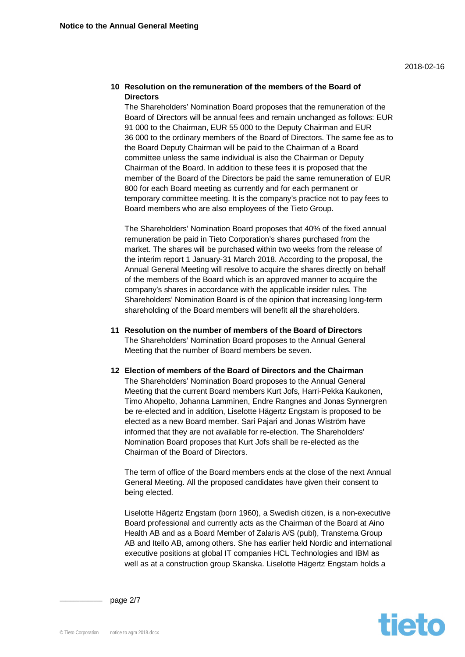## **10 Resolution on the remuneration of the members of the Board of Directors**

The Shareholders' Nomination Board proposes that the remuneration of the Board of Directors will be annual fees and remain unchanged as follows: EUR 91 000 to the Chairman, EUR 55 000 to the Deputy Chairman and EUR 36 000 to the ordinary members of the Board of Directors. The same fee as to the Board Deputy Chairman will be paid to the Chairman of a Board committee unless the same individual is also the Chairman or Deputy Chairman of the Board. In addition to these fees it is proposed that the member of the Board of the Directors be paid the same remuneration of EUR 800 for each Board meeting as currently and for each permanent or temporary committee meeting. It is the company's practice not to pay fees to Board members who are also employees of the Tieto Group.

The Shareholders' Nomination Board proposes that 40% of the fixed annual remuneration be paid in Tieto Corporation's shares purchased from the market. The shares will be purchased within two weeks from the release of the interim report 1 January-31 March 2018. According to the proposal, the Annual General Meeting will resolve to acquire the shares directly on behalf of the members of the Board which is an approved manner to acquire the company's shares in accordance with the applicable insider rules. The Shareholders' Nomination Board is of the opinion that increasing long-term shareholding of the Board members will benefit all the shareholders.

- **11 Resolution on the number of members of the Board of Directors** The Shareholders' Nomination Board proposes to the Annual General Meeting that the number of Board members be seven.
- **12 Election of members of the Board of Directors and the Chairman** The Shareholders' Nomination Board proposes to the Annual General Meeting that the current Board members Kurt Jofs, Harri-Pekka Kaukonen, Timo Ahopelto, Johanna Lamminen, Endre Rangnes and Jonas Synnergren be re-elected and in addition, Liselotte Hägertz Engstam is proposed to be elected as a new Board member. Sari Pajari and Jonas Wiström have informed that they are not available for re-election. The Shareholders' Nomination Board proposes that Kurt Jofs shall be re-elected as the Chairman of the Board of Directors.

The term of office of the Board members ends at the close of the next Annual General Meeting. All the proposed candidates have given their consent to being elected.

Liselotte Hägertz Engstam (born 1960), a Swedish citizen, is a non-executive Board professional and currently acts as the Chairman of the Board at Aino Health AB and as a Board Member of Zalaris A/S (publ), Transtema Group AB and Itello AB, among others. She has earlier held Nordic and international executive positions at global IT companies HCL Technologies and IBM as well as at a construction group Skanska. Liselotte Hägertz Engstam holds a



page 2/7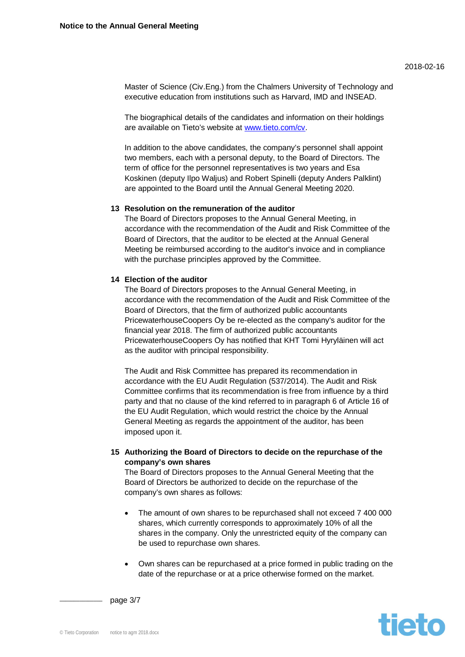Master of Science (Civ.Eng.) from the Chalmers University of Technology and executive education from institutions such as Harvard, IMD and INSEAD.

The biographical details of the can[didates and inform](http://www.tieto.com/cv)ation on their holdings are available on Tieto's website at www.tieto.com/cv.

In addition to the above candidates, the company's personnel shall appoint two members, each with a personal deputy, to the Board of Directors. The term of office for the personnel representatives is two years and Esa Koskinen (deputy Ilpo Waljus) and Robert Spinelli (deputy Anders Palklint) are appointed to the Board until the Annual General Meeting 2020.

## **13 Resolution on the remuneration of the auditor**

The Board of Directors proposes to the Annual General Meeting, in accordance with the recommendation of the Audit and Risk Committee of the Board of Directors, that the auditor to be elected at the Annual General Meeting be reimbursed according to the auditor's invoice and in compliance with the purchase principles approved by the Committee.

## **14 Election of the auditor**

The Board of Directors proposes to the Annual General Meeting, in accordance with the recommendation of the Audit and Risk Committee of the Board of Directors, that the firm of authorized public accountants PricewaterhouseCoopers Oy be re-elected as the company's auditor for the financial year 2018. The firm of authorized public accountants PricewaterhouseCoopers Oy has notified that KHT Tomi Hyryläinen will act as the auditor with principal responsibility.

The Audit and Risk Committee has prepared its recommendation in accordance with the EU Audit Regulation (537/2014). The Audit and Risk Committee confirms that its recommendation is free from influence by a third party and that no clause of the kind referred to in paragraph 6 of Article 16 of the EU Audit Regulation, which would restrict the choice by the Annual General Meeting as regards the appointment of the auditor, has been imposed upon it.

## **15 Authorizing the Board of Directors to decide on the repurchase of the company's own shares**

The Board of Directors proposes to the Annual General Meeting that the Board of Directors be authorized to decide on the repurchase of the company's own shares as follows:

- The amount of own shares to be repurchased shall not exceed 7 400 000 shares, which currently corresponds to approximately 10% of all the shares in the company. Only the unrestricted equity of the company can be used to repurchase own shares.
- Own shares can be repurchased at a price formed in public trading on the date of the repurchase or at a price otherwise formed on the market.



page 3/7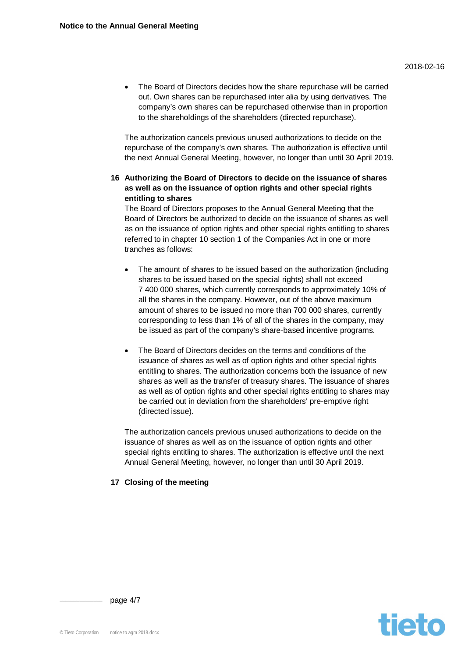The Board of Directors decides how the share repurchase will be carried out. Own shares can be repurchased inter alia by using derivatives. The company's own shares can be repurchased otherwise than in proportion to the shareholdings of the shareholders (directed repurchase).

The authorization cancels previous unused authorizations to decide on the repurchase of the company's own shares. The authorization is effective until the next Annual General Meeting, however, no longer than until 30 April 2019.

**16 Authorizing the Board of Directors to decide on the issuance of shares as well as on the issuance of option rights and other special rights entitling to shares**

The Board of Directors proposes to the Annual General Meeting that the Board of Directors be authorized to decide on the issuance of shares as well as on the issuance of option rights and other special rights entitling to shares referred to in chapter 10 section 1 of the Companies Act in one or more tranches as follows:

- The amount of shares to be issued based on the authorization (including shares to be issued based on the special rights) shall not exceed 7 400 000 shares, which currently corresponds to approximately 10% of all the shares in the company. However, out of the above maximum amount of shares to be issued no more than 700 000 shares, currently corresponding to less than 1% of all of the shares in the company, may be issued as part of the company's share-based incentive programs.
- The Board of Directors decides on the terms and conditions of the issuance of shares as well as of option rights and other special rights entitling to shares. The authorization concerns both the issuance of new shares as well as the transfer of treasury shares. The issuance of shares as well as of option rights and other special rights entitling to shares may be carried out in deviation from the shareholders' pre-emptive right (directed issue).

The authorization cancels previous unused authorizations to decide on the issuance of shares as well as on the issuance of option rights and other special rights entitling to shares. The authorization is effective until the next Annual General Meeting, however, no longer than until 30 April 2019.

## **17 Closing of the meeting**

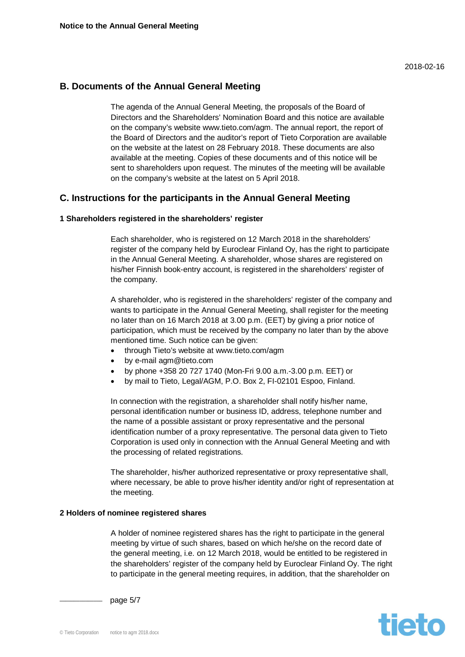## **B. Documents of the Annual General Meeting**

The agenda of the Annual General Meeting, the proposals of the Board of Directors and the Shareholders' Nomination Board and this notice are available on the company's website www.tieto.com/agm. The annual report, the report of the Board of Directors and the auditor's report of Tieto Corporation are available on the website at the latest on 28 February 2018. These documents are also available at the meeting. Copies of these documents and of this notice will be sent to shareholders upon request. The minutes of the meeting will be available on the company's website at the latest on 5 April 2018.

## **C. Instructions for the participants in the Annual General Meeting**

## **1 Shareholders registered in the shareholders' register**

Each shareholder, who is registered on 12 March 2018 in the shareholders' register of the company held by Euroclear Finland Oy, has the right to participate in the Annual General Meeting. A shareholder, whose shares are registered on his/her Finnish book-entry account, is registered in the shareholders' register of the company.

A shareholder, who is registered in the shareholders' register of the company and wants to participate in the Annual General Meeting, shall register for the meeting no later than on 16 March 2018 at 3.00 p.m. (EET) by giving a prior notice of participation, which must be received by the company no later than by the above mentioned time. Such notice can be given:

- through Tieto's website at www.tieto.com/agm
- by e-mail agm@tieto.com
- x by phone +358 20 727 1740 (Mon-Fri 9.00 a.m.-3.00 p.m. EET) or
- by mail to Tieto, Legal/AGM, P.O. Box 2, FI-02101 Espoo, Finland.

In connection with the registration, a shareholder shall notify his/her name, personal identification number or business ID, address, telephone number and the name of a possible assistant or proxy representative and the personal identification number of a proxy representative. The personal data given to Tieto Corporation is used only in connection with the Annual General Meeting and with the processing of related registrations.

The shareholder, his/her authorized representative or proxy representative shall, where necessary, be able to prove his/her identity and/or right of representation at the meeting.

#### **2 Holders of nominee registered shares**

A holder of nominee registered shares has the right to participate in the general meeting by virtue of such shares, based on which he/she on the record date of the general meeting, i.e. on 12 March 2018, would be entitled to be registered in the shareholders' register of the company held by Euroclear Finland Oy. The right to participate in the general meeting requires, in addition, that the shareholder on



page 5/7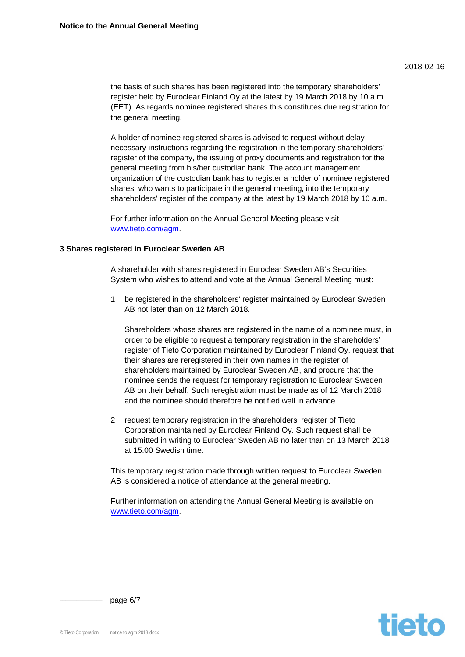the basis of such shares has been registered into the temporary shareholders' register held by Euroclear Finland Oy at the latest by 19 March 2018 by 10 a.m. (EET). As regards nominee registered shares this constitutes due registration for the general meeting.

A holder of nominee registered shares is advised to request without delay necessary instructions regarding the registration in the temporary shareholders' register of the company, the issuing of proxy documents and registration for the general meeting from his/her custodian bank. The account management organization of the custodian bank has to register a holder of nominee registered shares, who wants to participate in the general meeting, into the temporary shareholders' register of the company at the latest by 19 March 2018 by 10 a.m.

[For further informati](http://www.tieto.com/agm)on on the Annual General Meeting please visit www.tieto.com/agm.

## **3 Shares registered in Euroclear Sweden AB**

A shareholder with shares registered in Euroclear Sweden AB's Securities System who wishes to attend and vote at the Annual General Meeting must:

1 be registered in the shareholders' register maintained by Euroclear Sweden AB not later than on 12 March 2018.

Shareholders whose shares are registered in the name of a nominee must, in order to be eligible to request a temporary registration in the shareholders' register of Tieto Corporation maintained by Euroclear Finland Oy, request that their shares are reregistered in their own names in the register of shareholders maintained by Euroclear Sweden AB, and procure that the nominee sends the request for temporary registration to Euroclear Sweden AB on their behalf. Such reregistration must be made as of 12 March 2018 and the nominee should therefore be notified well in advance.

2 request temporary registration in the shareholders' register of Tieto Corporation maintained by Euroclear Finland Oy. Such request shall be submitted in writing to Euroclear Sweden AB no later than on 13 March 2018 at 15.00 Swedish time.

This temporary registration made through written request to Euroclear Sweden AB is considered a notice of attendance at the general meeting.

[Further information](http://www.tieto.com/agm) on attending the Annual General Meeting is available on www.tieto.com/agm.



page 6/7